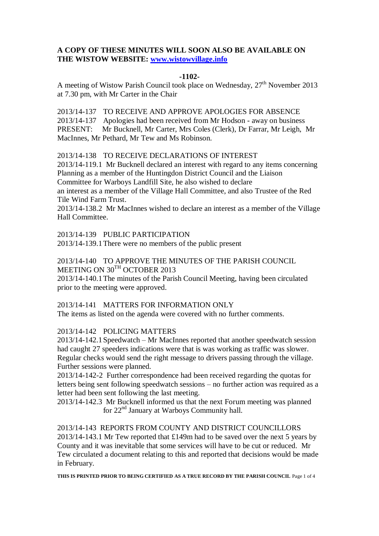# **A COPY OF THESE MINUTES WILL SOON ALSO BE AVAILABLE ON THE WISTOW WEBSITE: [www.wistowvillage.info](http://www.wistowvillage.info/)**

#### **-1102-**

A meeting of Wistow Parish Council took place on Wednesday,  $27<sup>th</sup>$  November 2013 at 7.30 pm, with Mr Carter in the Chair

2013/14-137 TO RECEIVE AND APPROVE APOLOGIES FOR ABSENCE 2013/14-137 Apologies had been received from Mr Hodson - away on business PRESENT: Mr Bucknell, Mr Carter, Mrs Coles (Clerk), Dr Farrar, Mr Leigh, Mr MacInnes, Mr Pethard, Mr Tew and Ms Robinson.

2013/14-138 TO RECEIVE DECLARATIONS OF INTEREST

2013/14-119.1 Mr Bucknell declared an interest with regard to any items concerning Planning as a member of the Huntingdon District Council and the Liaison Committee for Warboys Landfill Site, he also wished to declare an interest as a member of the Village Hall Committee, and also Trustee of the Red Tile Wind Farm Trust.

2013/14-138.2 Mr MacInnes wished to declare an interest as a member of the Village Hall Committee.

2013/14-139 PUBLIC PARTICIPATION

2013/14-139.1There were no members of the public present

# 2013/14-140 TO APPROVE THE MINUTES OF THE PARISH COUNCIL MEETING ON 30<sup>TH</sup> OCTOBER 2013

2013/14-140.1The minutes of the Parish Council Meeting, having been circulated prior to the meeting were approved.

2013/14-141 MATTERS FOR INFORMATION ONLY The items as listed on the agenda were covered with no further comments.

## 2013/14-142 POLICING MATTERS

2013/14-142.1Speedwatch – Mr MacInnes reported that another speedwatch session had caught 27 speeders indications were that is was working as traffic was slower. Regular checks would send the right message to drivers passing through the village. Further sessions were planned.

2013/14-142-2 Further correspondence had been received regarding the quotas for letters being sent following speedwatch sessions – no further action was required as a letter had been sent following the last meeting.

2013/14-142.3 Mr Bucknell informed us that the next Forum meeting was planned for 22nd January at Warboys Community hall.

2013/14-143 REPORTS FROM COUNTY AND DISTRICT COUNCILLORS

2013/14-143.1 Mr Tew reported that £149m had to be saved over the next 5 years by County and it was inevitable that some services will have to be cut or reduced. Mr Tew circulated a document relating to this and reported that decisions would be made in February.

**THIS IS PRINTED PRIOR TO BEING CERTIFIED AS A TRUE RECORD BY THE PARISH COUNCIL** Page 1 of 4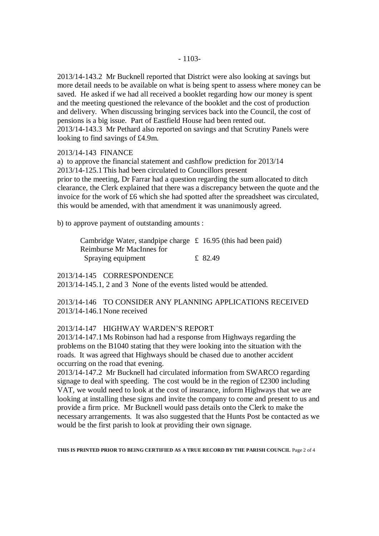2013/14-143.2 Mr Bucknell reported that District were also looking at savings but more detail needs to be available on what is being spent to assess where money can be saved. He asked if we had all received a booklet regarding how our money is spent and the meeting questioned the relevance of the booklet and the cost of production and delivery. When discussing bringing services back into the Council, the cost of pensions is a big issue. Part of Eastfield House had been rented out. 2013/14-143.3 Mr Pethard also reported on savings and that Scrutiny Panels were looking to find savings of £4.9m.

#### 2013/14-143 FINANCE

a) to approve the financial statement and cashflow prediction for 2013/14 2013/14-125.1This had been circulated to Councillors present prior to the meeting, Dr Farrar had a question regarding the sum allocated to ditch clearance, the Clerk explained that there was a discrepancy between the quote and the invoice for the work of £6 which she had spotted after the spreadsheet was circulated, this would be amended, with that amendment it was unanimously agreed.

b) to approve payment of outstanding amounts :

Cambridge Water, standpipe charge  $\pm$  16.95 (this had been paid) Reimburse Mr MacInnes for Spraying equipment £ 82.49

## 2013/14-145 CORRESPONDENCE

2013/14-145.1, 2 and 3 None of the events listed would be attended.

# 2013/14-146 TO CONSIDER ANY PLANNING APPLICATIONS RECEIVED 2013/14-146.1None received

## 2013/14-147 HIGHWAY WARDEN'S REPORT

2013/14-147.1Ms Robinson had had a response from Highways regarding the problems on the B1040 stating that they were looking into the situation with the roads. It was agreed that Highways should be chased due to another accident occurring on the road that evening.

2013/14-147.2 Mr Bucknell had circulated information from SWARCO regarding signage to deal with speeding. The cost would be in the region of £2300 including VAT, we would need to look at the cost of insurance, inform Highways that we are looking at installing these signs and invite the company to come and present to us and provide a firm price. Mr Bucknell would pass details onto the Clerk to make the necessary arrangements. It was also suggested that the Hunts Post be contacted as we would be the first parish to look at providing their own signage.

**THIS IS PRINTED PRIOR TO BEING CERTIFIED AS A TRUE RECORD BY THE PARISH COUNCIL** Page 2 of 4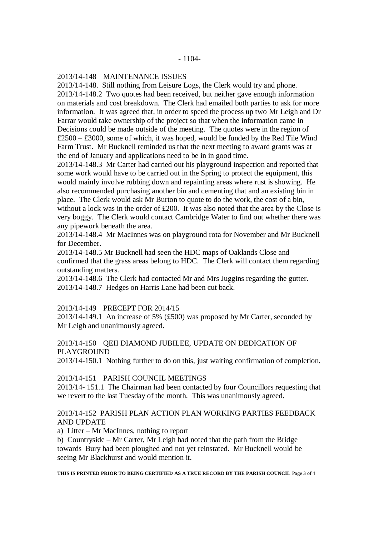#### 2013/14-148 MAINTENANCE ISSUES

2013/14-148. Still nothing from Leisure Logs, the Clerk would try and phone. 2013/14-148.2 Two quotes had been received, but neither gave enough information on materials and cost breakdown. The Clerk had emailed both parties to ask for more information. It was agreed that, in order to speed the process up two Mr Leigh and Dr Farrar would take ownership of the project so that when the information came in Decisions could be made outside of the meeting. The quotes were in the region of  $£2500 - £3000$ , some of which, it was hoped, would be funded by the Red Tile Wind Farm Trust. Mr Bucknell reminded us that the next meeting to award grants was at the end of January and applications need to be in in good time.

2013/14-148.3 Mr Carter had carried out his playground inspection and reported that some work would have to be carried out in the Spring to protect the equipment, this would mainly involve rubbing down and repainting areas where rust is showing. He also recommended purchasing another bin and cementing that and an existing bin in place. The Clerk would ask Mr Burton to quote to do the work, the cost of a bin, without a lock was in the order of £200. It was also noted that the area by the Close is very boggy. The Clerk would contact Cambridge Water to find out whether there was any pipework beneath the area.

2013/14-148.4 Mr MacInnes was on playground rota for November and Mr Bucknell for December.

2013/14-148.5 Mr Bucknell had seen the HDC maps of Oaklands Close and confirmed that the grass areas belong to HDC. The Clerk will contact them regarding outstanding matters.

2013/14-148.6 The Clerk had contacted Mr and Mrs Juggins regarding the gutter. 2013/14-148.7 Hedges on Harris Lane had been cut back.

## 2013/14-149 PRECEPT FOR 2014/15

2013/14-149.1 An increase of 5% (£500) was proposed by Mr Carter, seconded by Mr Leigh and unanimously agreed.

# 2013/14-150 QEII DIAMOND JUBILEE, UPDATE ON DEDICATION OF PLAYGROUND

2013/14-150.1 Nothing further to do on this, just waiting confirmation of completion.

## 2013/14-151 PARISH COUNCIL MEETINGS

2013/14- 151.1 The Chairman had been contacted by four Councillors requesting that we revert to the last Tuesday of the month. This was unanimously agreed.

# 2013/14-152 PARISH PLAN ACTION PLAN WORKING PARTIES FEEDBACK AND UPDATE

a) Litter – Mr MacInnes, nothing to report

b) Countryside – Mr Carter, Mr Leigh had noted that the path from the Bridge towards Bury had been ploughed and not yet reinstated. Mr Bucknell would be seeing Mr Blackhurst and would mention it.

**THIS IS PRINTED PRIOR TO BEING CERTIFIED AS A TRUE RECORD BY THE PARISH COUNCIL** Page 3 of 4